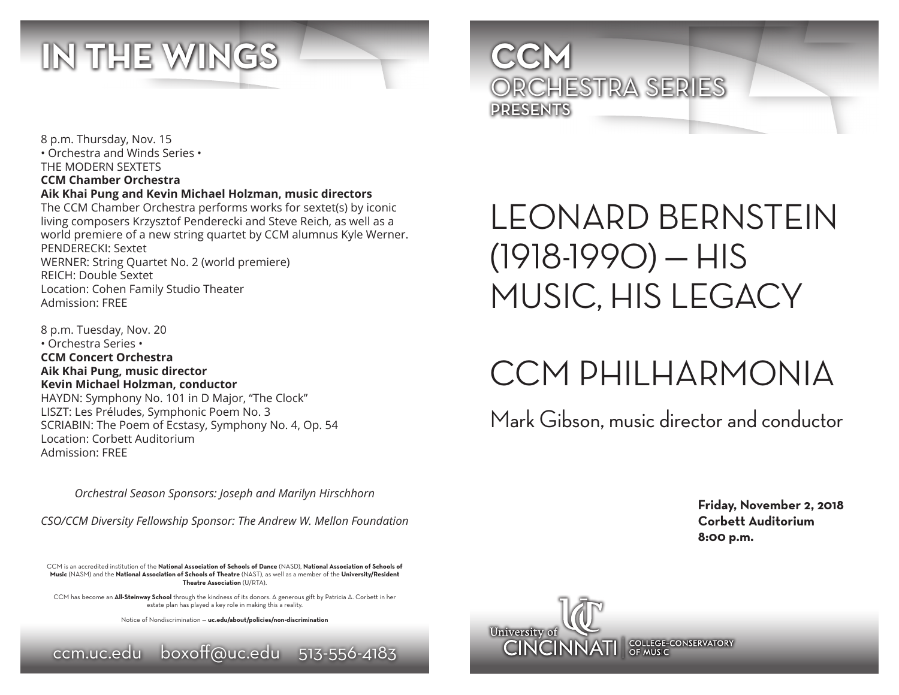

8 p.m. Thursday, Nov. 15 • Orchestra and Winds Series • THE MODERN SEXTETS **CCM Chamber Orchestra Aik Khai Pung and Kevin Michael Holzman, music directors**

The CCM Chamber Orchestra performs works for sextet(s) by iconic living composers Krzysztof Penderecki and Steve Reich, as well as a world premiere of a new string quartet by CCM alumnus Kyle Werner. PENDERECKI: Sextet WERNER: String Quartet No. 2 (world premiere) REICH: Double Sextet Location: Cohen Family Studio Theater Admission: FREE

8 p.m. Tuesday, Nov. 20 • Orchestra Series • **CCM Concert Orchestra Aik Khai Pung, music director Kevin Michael Holzman, conductor** HAYDN: Symphony No. 101 in D Major, "The Clock" LISZT: Les Préludes, Symphonic Poem No. 3 SCRIABIN: The Poem of Ecstasy, Symphony No. 4, Op. 54 Location: Corbett Auditorium Admission: FREE

*Orchestral Season Sponsors: Joseph and Marilyn Hirschhorn*

*CSO/CCM Diversity Fellowship Sponsor: The Andrew W. Mellon Foundation*

CCM is an accredited institution of the **National Association of Schools of Dance** (NASD), **National Association of Schools of Music** (NASM) and the **National Association of Schools of Theatre** (NAST), as well as a member of the **University/Resident Theatre Association** (U/RTA).

CCM has become an **All-Steinway School** through the kindness of its donors. A generous gift by Patricia A. Corbett in her estate plan has played a key role in making this a reality.

Notice of Nondiscrimination — **uc.edu/about/policies/non-discrimination**





## LEONARD BERNSTEIN  $(1918-1990) - HIS$ MUSIC, HIS LEGACY

# CCM PHILHARMONIA

Mark Gibson, music director and conductor

**Friday, November 2, 2018 Corbett Auditorium 8:00 p.m.**